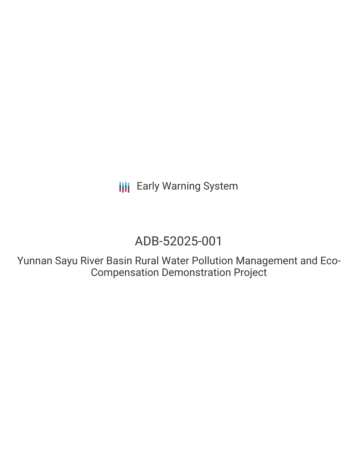**III** Early Warning System

## ADB-52025-001

Yunnan Sayu River Basin Rural Water Pollution Management and Eco-Compensation Demonstration Project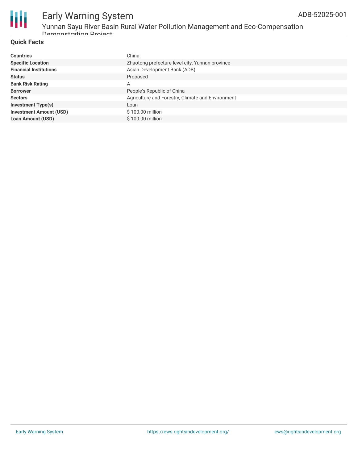

### Early Warning System Yunnan Sayu River Basin Rural Water Pollution Management and Eco-Compensation

Demonstration Project

### **Quick Facts**

| <b>Countries</b>               | China                                             |
|--------------------------------|---------------------------------------------------|
| <b>Specific Location</b>       | Zhaotong prefecture-level city, Yunnan province   |
| <b>Financial Institutions</b>  | Asian Development Bank (ADB)                      |
| <b>Status</b>                  | Proposed                                          |
| <b>Bank Risk Rating</b>        | A                                                 |
| <b>Borrower</b>                | People's Republic of China                        |
| <b>Sectors</b>                 | Agriculture and Forestry, Climate and Environment |
| <b>Investment Type(s)</b>      | Loan                                              |
| <b>Investment Amount (USD)</b> | $$100.00$ million                                 |
| <b>Loan Amount (USD)</b>       | \$100.00 million                                  |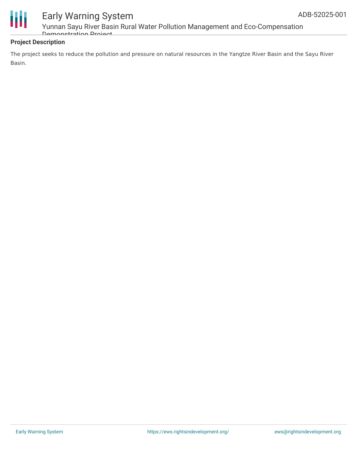

### Early Warning System Yunnan Sayu River Basin Rural Water Pollution Management and Eco-Compensation

Demonstration Project

### **Project Description**

The project seeks to reduce the pollution and pressure on natural resources in the Yangtze River Basin and the Sayu River Basin.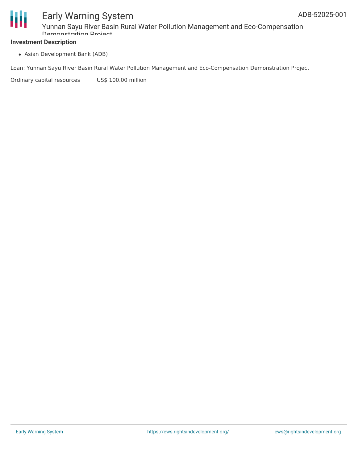

### Early Warning System Yunnan Sayu River Basin Rural Water Pollution Management and Eco-Compensation Demonstration Project

### **Investment Description**

Asian Development Bank (ADB)

Loan: Yunnan Sayu River Basin Rural Water Pollution Management and Eco-Compensation Demonstration Project

Ordinary capital resources US\$ 100.00 million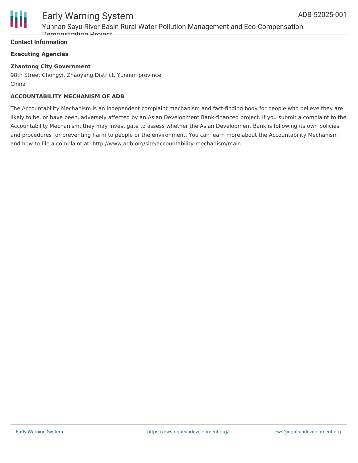

# Early Warning System

Yunnan Sayu River Basin Rural Water Pollution Management and Eco-Compensation Demonstration Project

### **Contact Information**

### **Executing Agencies**

### **Zhaotong City Government**

98th Street Chongyi, Zhaoyang District, Yunnan province China

### **ACCOUNTABILITY MECHANISM OF ADB**

The Accountability Mechanism is an independent complaint mechanism and fact-finding body for people who believe they are likely to be, or have been, adversely affected by an Asian Development Bank-financed project. If you submit a complaint to the Accountability Mechanism, they may investigate to assess whether the Asian Development Bank is following its own policies and procedures for preventing harm to people or the environment. You can learn more about the Accountability Mechanism and how to file a complaint at: http://www.adb.org/site/accountability-mechanism/main